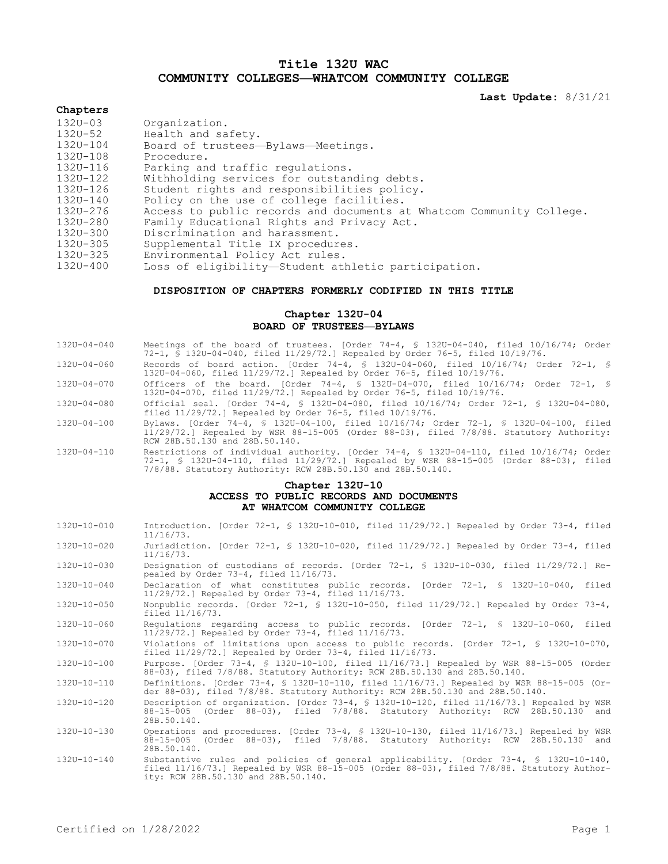# **Title 132U WAC COMMUNITY COLLEGES—WHATCOM COMMUNITY COLLEGE**

**Last Update:** 8/31/21

### **Chapters**

| Organization.                                                        |
|----------------------------------------------------------------------|
| Health and safety.                                                   |
| Board of trustees-Bylaws-Meetings.                                   |
| Procedure.                                                           |
| Parking and traffic regulations.                                     |
| Withholding services for outstanding debts.                          |
| Student rights and responsibilities policy.                          |
| Policy on the use of college facilities.                             |
| Access to public records and documents at Whatcom Community College. |
| Family Educational Rights and Privacy Act.                           |
| Discrimination and harassment.                                       |
| Supplemental Title IX procedures.                                    |
| Environmental Policy Act rules.                                      |
| Loss of eligibility—Student athletic participation.                  |
|                                                                      |

## **DISPOSITION OF CHAPTERS FORMERLY CODIFIED IN THIS TITLE**

# **Chapter 132U-04 BOARD OF TRUSTEES—BYLAWS**

| 132U-04-040 |  | Meetings of the board of trustees. [Order 74-4, § 132U-04-040, filed 10/16/74; Order  |  |  |  |  |  |  |
|-------------|--|---------------------------------------------------------------------------------------|--|--|--|--|--|--|
|             |  | 72-1, § 132U-04-040, filed $11/29/72$ .] Repealed by Order 76-5, filed $10/19/76$ .   |  |  |  |  |  |  |
| 132U-04-060 |  | Records of board action. [Order 74-4, § 132U-04-060, filed $10/16/74$ ; Order 72-1, § |  |  |  |  |  |  |

- 132U-04-060, filed 11/29/72.] Repealed by Order 76-5, filed 10/19/76.
- 132U-04-070 Officers of the board. [Order 74-4, § 132U-04-070, filed 10/16/74; Order 72-1, § 132U-04-070, filed 11/29/72.] Repealed by Order 76-5, filed 10/19/76.
- 132U-04-080 Official seal. [Order 74-4, § 132U-04-080, filed 10/16/74; Order 72-1, § 132U-04-080, filed 11/29/72.] Repealed by Order 76-5, filed 10/19/76.
- 132U-04-100 Bylaws. [Order 74-4, § 132U-04-100, filed 10/16/74; Order 72-1, § 132U-04-100, filed 11/29/72.] Repealed by WSR 88-15-005 (Order 88-03), filed 7/8/88. Statutory Authority: RCW 28B.50.130 and 28B.50.140.
- 132U-04-110 Restrictions of individual authority. [Order 74-4, § 132U-04-110, filed 10/16/74; Order 72-1, § 132U-04-110, filed 11/29/72.] Repealed by WSR 88-15-005 (Order 88-03), filed 7/8/88. Statutory Authority: RCW 28B.50.130 and 28B.50.140.

# **Chapter 132U-10 ACCESS TO PUBLIC RECORDS AND DOCUMENTS AT WHATCOM COMMUNITY COLLEGE**

| $132U - 10 - 010$ | Introduction. [Order 72-1, § 132U-10-010, filed 11/29/72.] Repealed by Order 73-4, filed<br>$11/16/73$ .                                                                                                                 |
|-------------------|--------------------------------------------------------------------------------------------------------------------------------------------------------------------------------------------------------------------------|
| $132U - 10 - 020$ | Jurisdiction. [Order 72-1, § 132U-10-020, filed 11/29/72.] Repealed by Order 73-4, filed<br>$11/16/73$ .                                                                                                                 |
| $132U - 10 - 030$ | Designation of custodians of records. [Order 72-1, § 132U-10-030, filed 11/29/72.] Re-<br>pealed by Order 73-4, filed 11/16/73.                                                                                          |
| $132U - 10 - 040$ | Declaration of what constitutes public records. [Order 72-1, § 132U-10-040, filed<br>$11/29/72.$ Repealed by Order 73-4, filed $11/16/73.$                                                                               |
| $132U - 10 - 050$ | Nonpublic records. $[Order 72-1, $ 132U-10-050, filed 11/29/72.] Repeated by Order 73-4,$<br>filed 11/16/73.                                                                                                             |
| $132U - 10 - 060$ | Requlations regarding access to public records. [Order 72-1, § 132U-10-060, filed<br>$11/29/72.$ Repealed by Order 73-4, filed $11/16/73.$                                                                               |
| $132U - 10 - 070$ | Violations of limitations upon access to public records. [Order 72-1, § 132U-10-070,<br>filed $11/29/72$ . Repealed by Order 73-4, filed $11/16/73$ .                                                                    |
| $132U - 10 - 100$ | Purpose. [Order 73-4, § 132U-10-100, filed 11/16/73.] Repealed by WSR 88-15-005 (Order<br>88-03), filed 7/8/88. Statutory Authority: RCW 28B.50.130 and 28B.50.140.                                                      |
| 132U-10-110       | Definitions. [Order 73-4, § 132U-10-110, filed 11/16/73.] Repealed by WSR 88-15-005 (Or-<br>der 88-03), filed 7/8/88. Statutory Authority: RCW 28B.50.130 and 28B.50.140.                                                |
| $132U - 10 - 120$ | Description of organization. [Order 73-4, § 132U-10-120, filed 11/16/73.] Repealed by WSR<br>88-15-005 (Order 88-03), filed 7/8/88. Statutory Authority: RCW 28B.50.130 and<br>28B.50.140.                               |
| $132U - 10 - 130$ | Operations and procedures. [Order 73-4, § 132U-10-130, filed 11/16/73.] Repealed by WSR<br>88-15-005 (Order 88-03), filed 7/8/88. Statutory Authority: RCW 28B.50.130 and<br>28B.50.140.                                 |
| 132U-10-140       | Substantive rules and policies of general applicability. [Order 73-4, § 132U-10-140,<br>filed 11/16/73.] Repealed by WSR 88-15-005 (Order 88-03), filed 7/8/88. Statutory Author-<br>ity: RCW 28B.50.130 and 28B.50.140. |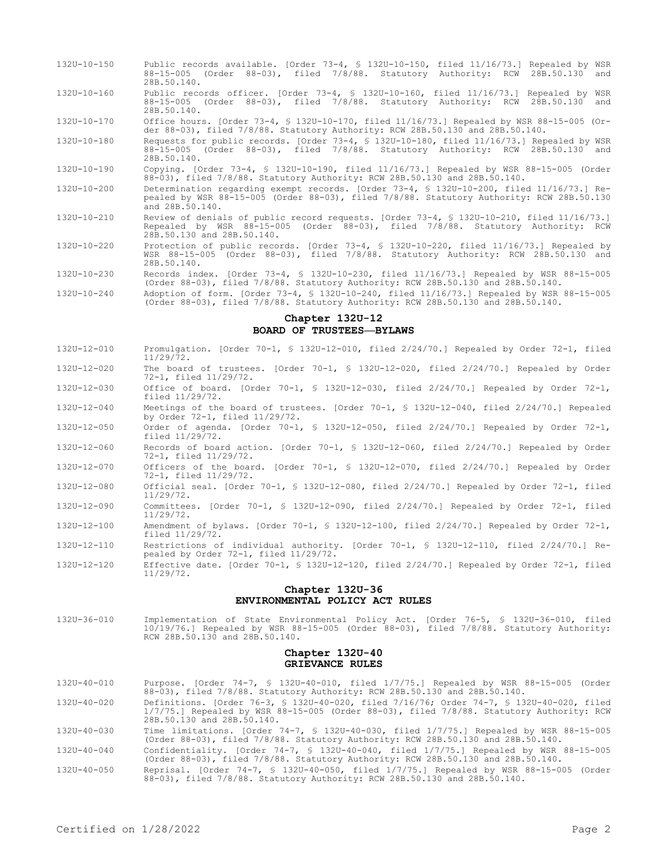- 132U-10-150 Public records available. [Order 73-4, § 132U-10-150, filed 11/16/73.] Repealed by WSR 88-15-005 (Order 88-03), filed 7/8/88. Statutory Authority: RCW 28B.50.130 and 28B.50.140.
- 132U-10-160 Public records officer. [Order 73-4, § 132U-10-160, filed 11/16/73.] Repealed by WSR 88-15-005 (Order 88-03), filed 7/8/88. Statutory Authority: RCW 28B.50.130 and 28B.50.140.
- 132U-10-170 Office hours. [Order 73-4, § 132U-10-170, filed 11/16/73.] Repealed by WSR 88-15-005 (Order 88-03), filed 7/8/88. Statutory Authority: RCW 28B.50.130 and 28B.50.140.
- 132U-10-180 Requests for public records. [Order 73-4, § 132U-10-180, filed 11/16/73.] Repealed by WSR 88-15-005 (Order 88-03), filed 7/8/88. Statutory Authority: RCW 28B.50.130 and 28B.50.140.
- 132U-10-190 Copying. [Order 73-4, § 132U-10-190, filed 11/16/73.] Repealed by WSR 88-15-005 (Order 88-03), filed 7/8/88. Statutory Authority: RCW 28B.50.130 and 28B.50.140.
- 132U-10-200 Determination regarding exempt records. [Order 73-4, § 132U-10-200, filed 11/16/73.] Repealed by WSR 88-15-005 (Order 88-03), filed 7/8/88. Statutory Authority: RCW 28B.50.130 and 28B.50.140.
- 132U-10-210 Review of denials of public record requests. [Order 73-4, § 132U-10-210, filed 11/16/73.] Repealed by WSR 88-15-005 (Order 88-03), filed 7/8/88. Statutory Authority: RCW 28B.50.130 and 28B.50.140.
- 132U-10-220 Protection of public records. [Order 73-4, § 132U-10-220, filed 11/16/73.] Repealed by WSR 88-15-005 (Order 88-03), filed 7/8/88. Statutory Authority: RCW 28B.50.130 and 28B.50.140.
- 132U-10-230 Records index. [Order 73-4, § 132U-10-230, filed 11/16/73.] Repealed by WSR 88-15-005 (Order 88-03), filed 7/8/88. Statutory Authority: RCW 28B.50.130 and 28B.50.140.
- 132U-10-240 Adoption of form. [Order 73-4, § 132U-10-240, filed 11/16/73.] Repealed by WSR 88-15-005 (Order 88-03), filed 7/8/88. Statutory Authority: RCW 28B.50.130 and 28B.50.140.

# **Chapter 132U-12 BOARD OF TRUSTEES—BYLAWS**

- 132U-12-010 Promulgation. [Order 70-1, § 132U-12-010, filed 2/24/70.] Repealed by Order 72-1, filed 11/29/72. 132U-12-020 The board of trustees. [Order 70-1, § 132U-12-020, filed 2/24/70.] Repealed by Order 72-1, filed 11/29/72. 132U-12-030 Office of board. [Order 70-1, § 132U-12-030, filed 2/24/70.] Repealed by Order 72-1, filed 11/29/72. 132U-12-040 Meetings of the board of trustees. [Order 70-1, § 132U-12-040, filed 2/24/70.] Repealed by Order 72-1, filed 11/29/72. 132U-12-050 Order of agenda. [Order 70-1, § 132U-12-050, filed 2/24/70.] Repealed by Order 72-1, filed 11/29/72. 132U-12-060 Records of board action. [Order 70-1, § 132U-12-060, filed 2/24/70.] Repealed by Order 72-1, filed 11/29/72. 132U-12-070 Officers of the board. [Order 70-1, § 132U-12-070, filed 2/24/70.] Repealed by Order 72-1, filed 11/29/72. 132U-12-080 Official seal. [Order 70-1, § 132U-12-080, filed 2/24/70.] Repealed by Order 72-1, filed 11/29/72. 132U-12-090 Committees. [Order 70-1, § 132U-12-090, filed 2/24/70.] Repealed by Order 72-1, filed 11/29/72. 132U-12-100 Amendment of bylaws. [Order 70-1, § 132U-12-100, filed 2/24/70.] Repealed by Order 72-1, filed 11/29/72. 132U-12-110 Restrictions of individual authority. [Order 70-1, § 132U-12-110, filed 2/24/70.] Re-
- pealed by Order 72-1, filed 11/29/72. 132U-12-120 Effective date. [Order 70-1, § 132U-12-120, filed 2/24/70.] Repealed by Order 72-1, filed
- 11/29/72.

#### **Chapter 132U-36 ENVIRONMENTAL POLICY ACT RULES**

132U-36-010 Implementation of State Environmental Policy Act. [Order 76-5, § 132U-36-010, filed 10/19/76.] Repealed by WSR 88-15-005 (Order 88-03), filed 7/8/88. Statutory Authority: RCW 28B.50.130 and 28B.50.140.

## **Chapter 132U-40 GRIEVANCE RULES**

- 132U-40-010 Purpose. [Order 74-7, § 132U-40-010, filed 1/7/75.] Repealed by WSR 88-15-005 (Order 88-03), filed 7/8/88. Statutory Authority: RCW 28B.50.130 and 28B.50.140.
- 132U-40-020 Definitions. [Order 76-3, § 132U-40-020, filed 7/16/76; Order 74-7, § 132U-40-020, filed 1/7/75.] Repealed by WSR 88-15-005 (Order 88-03), filed 7/8/88. Statutory Authority: RCW 28B.50.130 and 28B.50.140.
- 132U-40-030 Time limitations. [Order 74-7, § 132U-40-030, filed 1/7/75.] Repealed by WSR 88-15-005 (Order 88-03), filed 7/8/88. Statutory Authority: RCW 28B.50.130 and 28B.50.140.
- 132U-40-040 Confidentiality. [Order 74-7, § 132U-40-040, filed 1/7/75.] Repealed by WSR 88-15-005 (Order 88-03), filed 7/8/88. Statutory Authority: RCW 28B.50.130 and 28B.50.140.
- 132U-40-050 Reprisal. [Order 74-7, § 132U-40-050, filed 1/7/75.] Repealed by WSR 88-15-005 (Order 88-03), filed 7/8/88. Statutory Authority: RCW 28B.50.130 and 28B.50.140.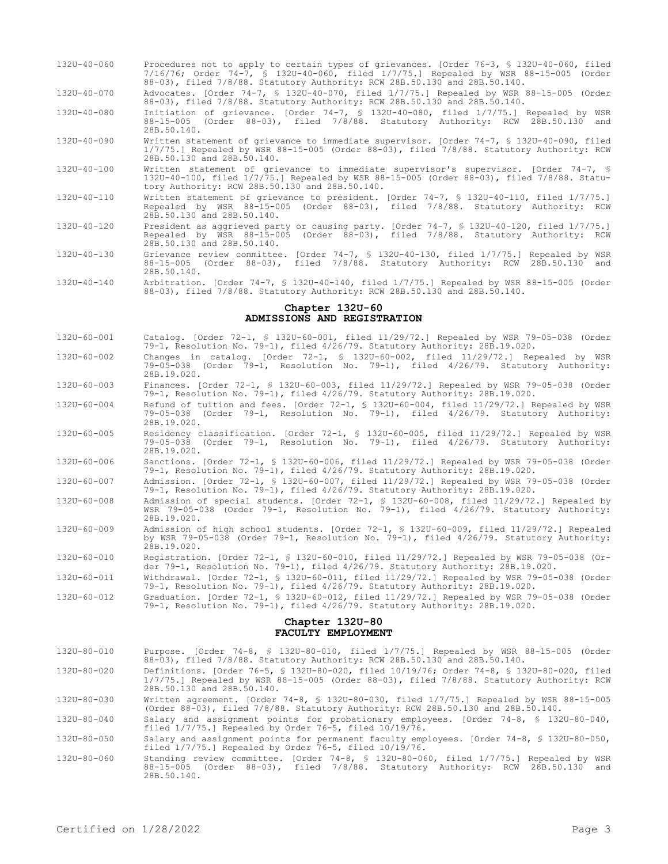- 132U-40-060 Procedures not to apply to certain types of grievances. [Order 76-3, § 132U-40-060, filed 7/16/76; Order 74-7, § 132U-40-060, filed 1/7/75.] Repealed by WSR 88-15-005 (Order 88-03), filed 7/8/88. Statutory Authority: RCW 28B.50.130 and 28B.50.140.
- 132U-40-070 Advocates. [Order 74-7, § 132U-40-070, filed 1/7/75.] Repealed by WSR 88-15-005 (Order 88-03), filed 7/8/88. Statutory Authority: RCW 28B.50.130 and 28B.50.140.
- 132U-40-080 Initiation of grievance. [Order 74-7, § 132U-40-080, filed 1/7/75.] Repealed by WSR 88-15-005 (Order 88-03), filed 7/8/88. Statutory Authority: RCW 28B.50.130 and 28B.50.140.
- 132U-40-090 Written statement of grievance to immediate supervisor. [Order 74-7, § 132U-40-090, filed 1/7/75.] Repealed by WSR 88-15-005 (Order 88-03), filed 7/8/88. Statutory Authority: RCW 28B.50.130 and 28B.50.140.
- 132U-40-100 Written statement of grievance to immediate supervisor's supervisor. [Order 74-7, § 132U-40-100, filed 1/7/75.] Repealed by WSR 88-15-005 (Order 88-03), filed 7/8/88. Statutory Authority: RCW 28B.50.130 and 28B.50.140.
- 132U-40-110 Written statement of grievance to president. [Order 74-7, § 132U-40-110, filed 1/7/75.] Repealed by WSR 88-15-005 (Order 88-03), filed 7/8/88. Statutory Authority: RCW 28B.50.130 and 28B.50.140.
- 132U-40-120 President as aggrieved party or causing party. [Order 74-7, § 132U-40-120, filed 1/7/75.] Repealed by WSR 88-15-005 (Order 88-03), filed 7/8/88. Statutory Authority: RCW 28B.50.130 and 28B.50.140.
- 132U-40-130 Grievance review committee. [Order 74-7, § 132U-40-130, filed 1/7/75.] Repealed by WSR 88-15-005 (Order 88-03), filed 7/8/88. Statutory Authority: RCW 28B.50.130 and 28B.50.140.
- 132U-40-140 Arbitration. [Order 74-7, § 132U-40-140, filed 1/7/75.] Repealed by WSR 88-15-005 (Order 88-03), filed 7/8/88. Statutory Authority: RCW 28B.50.130 and 28B.50.140.

# **Chapter 132U-60 ADMISSIONS AND REGISTRATION**

- 132U-60-001 Catalog. [Order 72-1, § 132U-60-001, filed 11/29/72.] Repealed by WSR 79-05-038 (Order 79-1, Resolution No. 79-1), filed 4/26/79. Statutory Authority: 28B.19.020.
- 132U-60-002 Changes in catalog. [Order 72-1, § 132U-60-002, filed 11/29/72.] Repealed by WSR 79-05-038 (Order 79-1, Resolution No. 79-1), filed 4/26/79. Statutory Authority: 28B.19.020.
- 132U-60-003 Finances. [Order 72-1, § 132U-60-003, filed 11/29/72.] Repealed by WSR 79-05-038 (Order 79-1, Resolution No. 79-1), filed 4/26/79. Statutory Authority: 28B.19.020.
- 132U-60-004 Refund of tuition and fees. [Order 72-1, § 132U-60-004, filed 11/29/72.] Repealed by WSR 79-05-038 (Order 79-1, Resolution No. 79-1), filed 4/26/79. Statutory Authority: 28B.19.020.
- 132U-60-005 Residency classification. [Order 72-1, § 132U-60-005, filed 11/29/72.] Repealed by WSR 79-05-038 (Order 79-1, Resolution No. 79-1), filed 4/26/79. Statutory Authority: 28B.19.020.
- 132U-60-006 Sanctions. [Order 72-1, § 132U-60-006, filed 11/29/72.] Repealed by WSR 79-05-038 (Order 79-1, Resolution No. 79-1), filed 4/26/79. Statutory Authority: 28B.19.020.
- 132U-60-007 Admission. [Order 72-1, § 132U-60-007, filed 11/29/72.] Repealed by WSR 79-05-038 (Order 79-1, Resolution No. 79-1), filed 4/26/79. Statutory Authority: 28B.19.020.
- 132U-60-008 Admission of special students. [Order 72-1, § 132U-60-008, filed 11/29/72.] Repealed by WSR 79-05-038 (Order 79-1, Resolution No. 79-1), filed 4/26/79. Statutory Authority: 28B.19.020.
- 132U-60-009 Admission of high school students. [Order 72-1, § 132U-60-009, filed 11/29/72.] Repealed by WSR 79-05-038 (Order 79-1, Resolution No. 79-1), filed 4/26/79. Statutory Authority: 28B.19.020.
- 132U-60-010 Registration. [Order 72-1, § 132U-60-010, filed 11/29/72.] Repealed by WSR 79-05-038 (Order 79-1, Resolution No. 79-1), filed 4/26/79. Statutory Authority: 28B.19.020.
- 132U-60-011 Withdrawal. [Order 72-1, § 132U-60-011, filed 11/29/72.] Repealed by WSR 79-05-038 (Order 79-1, Resolution No. 79-1), filed 4/26/79. Statutory Authority: 28B.19.020.
- 132U-60-012 Graduation. [Order 72-1, § 132U-60-012, filed 11/29/72.] Repealed by WSR 79-05-038 (Order 79-1, Resolution No. 79-1), filed 4/26/79. Statutory Authority: 28B.19.020.

## **Chapter 132U-80 FACULTY EMPLOYMENT**

- 132U-80-010 Purpose. [Order 74-8, § 132U-80-010, filed 1/7/75.] Repealed by WSR 88-15-005 (Order 88-03), filed 7/8/88. Statutory Authority: RCW 28B.50.130 and 28B.50.140.
- 132U-80-020 Definitions. [Order 76-5, § 132U-80-020, filed 10/19/76; Order 74-8, § 132U-80-020, filed 1/7/75.] Repealed by WSR 88-15-005 (Order 88-03), filed 7/8/88. Statutory Authority: RCW 28B.50.130 and 28B.50.140.
- 132U-80-030 Written agreement. [Order 74-8, § 132U-80-030, filed 1/7/75.] Repealed by WSR 88-15-005 (Order 88-03), filed 7/8/88. Statutory Authority: RCW 28B.50.130 and 28B.50.140.
- 132U-80-040 Salary and assignment points for probationary employees. [Order 74-8, § 132U-80-040, filed 1/7/75.] Repealed by Order 76-5, filed 10/19/76.
- 132U-80-050 Salary and assignment points for permanent faculty employees. [Order 74-8, § 132U-80-050, filed 1/7/75.] Repealed by Order 76-5, filed 10/19/76.
- 132U-80-060 Standing review committee. [Order 74-8, § 132U-80-060, filed 1/7/75.] Repealed by WSR 88-15-005 (Order 88-03), filed 7/8/88. Statutory Authority: RCW 28B.50.130 and 28B.50.140.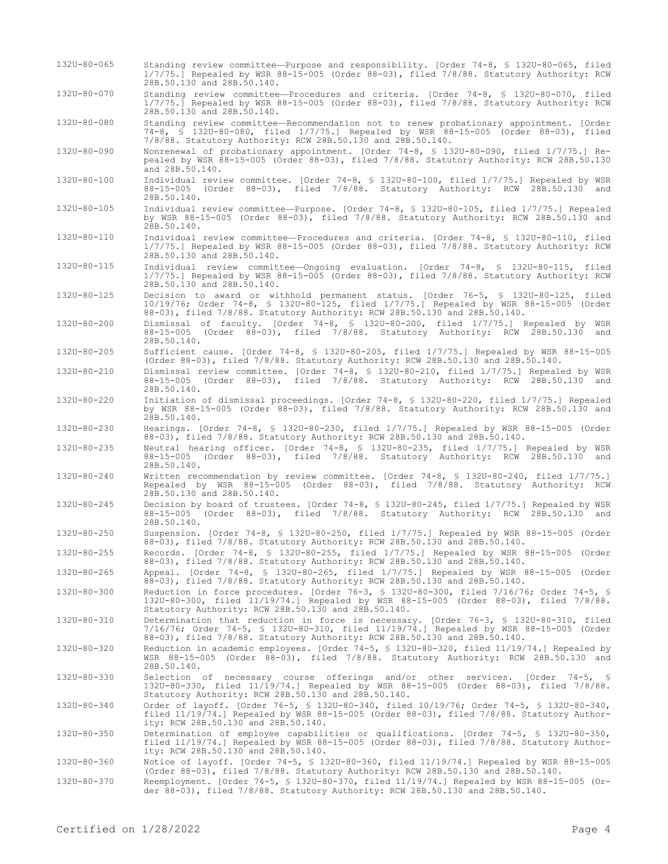28B.50.130 and 28B.50.140. 132U-80-070 Standing review committee—Procedures and criteria. [Order 74-8, § 132U-80-070, filed 1/7/75.] Repealed by WSR 88-15-005 (Order 88-03), filed 7/8/88. Statutory Authority: RCW 28B.50.130 and 28B.50.140. 132U-80-080 Standing review committee—Recommendation not to renew probationary appointment. [Order 74-8, § 132U-80-080, filed 1/7/75.] Repealed by WSR 88-15-005 (Order 88-03), filed 7/8/88. Statutory Authority: RCW 28B.50.130 and 28B.50.140. 132U-80-090 Nonrenewal of probationary appointment. [Order 74-8, § 132U-80-090, filed 1/7/75.] Repealed by WSR 88-15-005 (Order 88-03), filed 7/8/88. Statutory Authority: RCW 28B.50.130 and 28B.50.140. 132U-80-100 Individual review committee. [Order 74-8, § 132U-80-100, filed 1/7/75.] Repealed by WSR 88-15-005 (Order 88-03), filed 7/8/88. Statutory Authority: RCW 28B.50.130 and 28B.50.140. 132U-80-105 Individual review committee—Purpose. [Order 74-8, § 132U-80-105, filed 1/7/75.] Repealed by WSR 88-15-005 (Order 88-03), filed 7/8/88. Statutory Authority: RCW 28B.50.130 and 28B.50.140. 132U-80-110 Individual review committee—Procedures and criteria. [Order 74-8, § 132U-80-110, filed 1/7/75.] Repealed by WSR 88-15-005 (Order 88-03), filed 7/8/88. Statutory Authority: RCW 28B.50.130 and 28B.50.140. 132U-80-115 Individual review committee—Ongoing evaluation. [Order 74-8, § 132U-80-115, filed 1/7/75.] Repealed by WSR 88-15-005 (Order 88-03), filed 7/8/88. Statutory Authority: RCW 28B.50.130 and 28B.50.140. 132U-80-125 Decision to award or withhold permanent status. [Order 76-5, § 132U-80-125, filed 10/19/76; Order 74-8, § 132U-80-125, filed 1/7/75.] Repealed by WSR 88-15-005 (Order 88-03), filed 7/8/88. Statutory Authority: RCW 28B.50.130 and 28B.50.140. 132U-80-200 Dismissal of faculty. [Order 74-8, § 132U-80-200, filed 1/7/75.] Repealed by WSR 88-15-005 (Order 88-03), filed 7/8/88. Statutory Authority: RCW 28B.50.130 and 28B.50.140. 132U-80-205 Sufficient cause. [Order 74-8, § 132U-80-205, filed 1/7/75.] Repealed by WSR 88-15-005 (Order 88-03), filed 7/8/88. Statutory Authority: RCW 28B.50.130 and 28B.50.140. 132U-80-210 Dismissal review committee. [Order 74-8, § 132U-80-210, filed 1/7/75.] Repealed by WSR 88-15-005 (Order 88-03), filed 7/8/88. Statutory Authority: RCW 28B.50.130 and 28B.50.140. 132U-80-220 Initiation of dismissal proceedings. [Order 74-8, § 132U-80-220, filed 1/7/75.] Repealed by WSR 88-15-005 (Order 88-03), filed 7/8/88. Statutory Authority: RCW 28B.50.130 and 28B.50.140. 132U-80-230 Hearings. [Order 74-8, § 132U-80-230, filed 1/7/75.] Repealed by WSR 88-15-005 (Order 88-03), filed 7/8/88. Statutory Authority: RCW 28B.50.130 and 28B.50.140. 132U-80-235 Neutral hearing officer. [Order 74-8, § 132U-80-235, filed 1/7/75.] Repealed by WSR 88-15-005 (Order 88-03), filed 7/8/88. Statutory Authority: RCW 28B.50.130 and 28B.50.140. 132U-80-240 Written recommendation by review committee. [Order 74-8, § 132U-80-240, filed 1/7/75.] Repealed by WSR 88-15-005 (Order 88-03), filed 7/8/88. Statutory Authority: RCW 28B.50.130 and 28B.50.140. 132U-80-245 Decision by board of trustees. [Order 74-8, § 132U-80-245, filed 1/7/75.] Repealed by WSR 88-15-005 (Order 88-03), filed 7/8/88. Statutory Authority: RCW 28B.50.130 and 28B.50.140. 132U-80-250 Suspension. [Order 74-8, § 132U-80-250, filed 1/7/75.] Repealed by WSR 88-15-005 (Order 88-03), filed 7/8/88. Statutory Authority: RCW 28B.50.130 and 28B.50.140. 132U-80-255 Records. [Order 74-8, § 132U-80-255, filed 1/7/75.] Repealed by WSR 88-15-005 (Order 88-03), filed 7/8/88. Statutory Authority: RCW 28B.50.130 and 28B.50.140. 132U-80-265 Appeal. [Order 74-8, § 132U-80-265, filed 1/7/75.] Repealed by WSR 88-15-005 (Order 88-03), filed 7/8/88. Statutory Authority: RCW 28B.50.130 and 28B.50.140. 132U-80-300 Reduction in force procedures. [Order 76-3, § 132U-80-300, filed 7/16/76; Order 74-5, § 132U-80-300, filed 11/19/74.] Repealed by WSR 88-15-005 (Order 88-03), filed 7/8/88. Statutory Authority: RCW 28B.50.130 and 28B.50.140. 132U-80-310 Determination that reduction in force is necessary. [Order 76-3, § 132U-80-310, filed 7/16/76; Order 74-5, § 132U-80-310, filed 11/19/74.] Repealed by WSR 88-15-005 (Order 88-03), filed 7/8/88. Statutory Authority: RCW 28B.50.130 and 28B.50.140. 132U-80-320 Reduction in academic employees. [Order 74-5, § 132U-80-320, filed 11/19/74.] Repealed by WSR 88-15-005 (Order 88-03), filed 7/8/88. Statutory Authority: RCW 28B.50.130 and 28B.50.140. 132U-80-330 Selection of necessary course offerings and/or other services. [Order 74-5, § 132U-80-330, filed 11/19/74.] Repealed by WSR 88-15-005 (Order 88-03), filed 7/8/88. Statutory Authority: RCW 28B.50.130 and 28B.50.140. 132U-80-340 Order of layoff. [Order 76-5, § 132U-80-340, filed 10/19/76; Order 74-5, § 132U-80-340, filed 11/19/74.] Repealed by WSR 88-15-005 (Order 88-03), filed 7/8/88. Statutory Authority: RCW 28B.50.130 and 28B.50.140. 132U-80-350 Determination of employee capabilities or qualifications. [Order 74-5, § 132U-80-350, filed 11/19/74.] Repealed by WSR 88-15-005 (Order 88-03), filed 7/8/88. Statutory Authority: RCW 28B.50.130 and 28B.50.140. 132U-80-360 Notice of layoff. [Order 74-5, § 132U-80-360, filed 11/19/74.] Repealed by WSR 88-15-005 (Order 88-03), filed 7/8/88. Statutory Authority: RCW 28B.50.130 and 28B.50.140. 132U-80-370 Reemployment. [Order 74-5, § 132U-80-370, filed 11/19/74.] Repealed by WSR 88-15-005 (Order 88-03), filed 7/8/88. Statutory Authority: RCW 28B.50.130 and 28B.50.140.

132U-80-065 Standing review committee—Purpose and responsibility. [Order 74-8, § 132U-80-065, filed

1/7/75.] Repealed by WSR 88-15-005 (Order 88-03), filed 7/8/88. Statutory Authority: RCW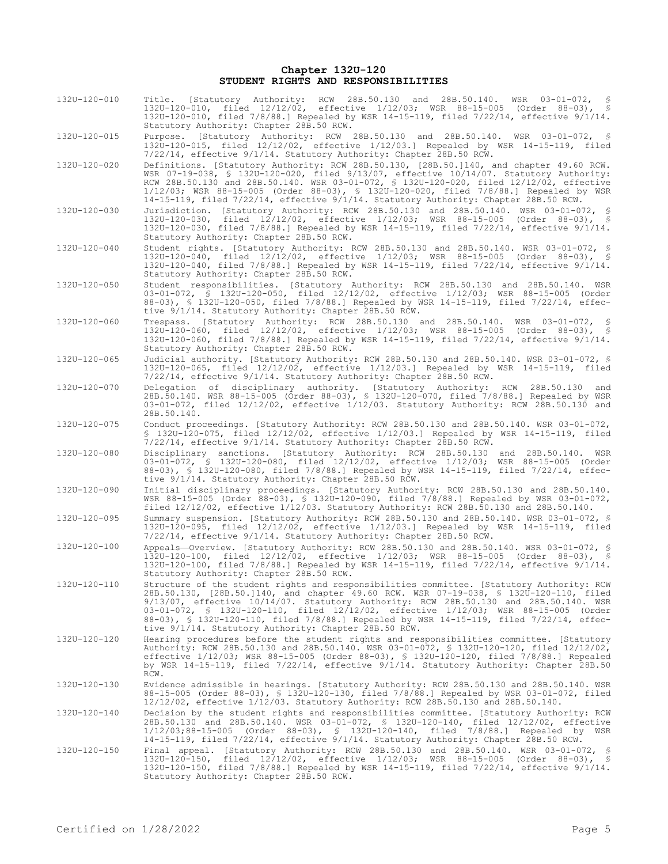# **Chapter 132U-120 STUDENT RIGHTS AND RESPONSIBILITIES**

| 132U-120-010 | Title. [Statutory Authority: RCW 28B.50.130 and 28B.50.140. WSR 03-01-072,<br>S<br>132U-120-010, filed 12/12/02, effective 1/12/03; WSR 88-15-005 (Order 88-03), §<br>132U-120-010, filed 7/8/88.] Repealed by WSR 14-15-119, filed 7/22/14, effective $9/1/14$ .<br>Statutory Authority: Chapter 28B.50 RCW.                                                                                                                                                                                                         |
|--------------|-----------------------------------------------------------------------------------------------------------------------------------------------------------------------------------------------------------------------------------------------------------------------------------------------------------------------------------------------------------------------------------------------------------------------------------------------------------------------------------------------------------------------|
| 132U-120-015 | Purpose. [Statutory Authority: RCW 28B.50.130 and 28B.50.140. WSR 03-01-072, §<br>132U-120-015, filed 12/12/02, effective 1/12/03.] Repealed by WSR 14-15-119, filed<br>7/22/14, effective 9/1/14. Statutory Authority: Chapter 28B.50 RCW.                                                                                                                                                                                                                                                                           |
| 132U-120-020 | Definitions. [Statutory Authority: RCW 28B.50.130, [28B.50.]140, and chapter 49.60 RCW.<br>WSR 07-19-038, § 132U-120-020, filed 9/13/07, effective 10/14/07. Statutory Authority:<br>RCW 28B.50.130 and 28B.50.140. WSR 03-01-072, § 132U-120-020, filed 12/12/02, effective<br>1/12/03; WSR 88-15-005 (Order 88-03), § 132U-120-020, filed 7/8/88.] Repealed by WSR<br>14-15-119, filed 7/22/14, effective 9/1/14. Statutory Authority: Chapter 28B.50 RCW.                                                          |
| 132U-120-030 | Jurisdiction. [Statutory Authority: RCW 28B.50.130 and 28B.50.140. WSR 03-01-072, §<br>132U-120-030, filed 12/12/02, effective 1/12/03; WSR 88-15-005 (Order 88-03), §<br>132U-120-030, filed 7/8/88.] Repealed by WSR 14-15-119, filed 7/22/14, effective 9/1/14.<br>Statutory Authority: Chapter 28B.50 RCW.                                                                                                                                                                                                        |
| 132U-120-040 | Student rights. [Statutory Authority: RCW 28B.50.130 and 28B.50.140. WSR 03-01-072, §<br>132U-120-040, filed 12/12/02, effective 1/12/03; WSR 88-15-005 (Order 88-03), §<br>132U-120-040, filed 7/8/88.] Repealed by WSR 14-15-119, filed 7/22/14, effective 9/1/14.<br>Statutory Authority: Chapter 28B.50 RCW.                                                                                                                                                                                                      |
| 132U-120-050 | Student responsibilities. [Statutory Authority: RCW 28B.50.130 and 28B.50.140. WSR<br>03-01-072, § 132U-120-050, filed 12/12/02, effective 1/12/03; WSR 88-15-005 (Order<br>88-03), § 132U-120-050, filed 7/8/88.] Repealed by WSR 14-15-119, filed 7/22/14, effec-<br>tive 9/1/14. Statutory Authority: Chapter 28B.50 RCW.                                                                                                                                                                                          |
| 132U-120-060 | Trespass. [Statutory Authority: RCW 28B.50.130 and 28B.50.140. WSR 03-01-072, §<br>132U-120-060, filed 12/12/02, effective 1/12/03; WSR 88-15-005 (Order 88-03), \$<br>132U-120-060, filed 7/8/88.] Repealed by WSR 14-15-119, filed 7/22/14, effective 9/1/14.<br>Statutory Authority: Chapter 28B.50 RCW.                                                                                                                                                                                                           |
| 132U-120-065 | Judicial authority. [Statutory Authority: RCW 28B.50.130 and 28B.50.140. WSR 03-01-072, §<br>132U-120-065, filed 12/12/02, effective 1/12/03.] Repealed by WSR 14-15-119, filed<br>7/22/14, effective 9/1/14. Statutory Authority: Chapter 28B.50 RCW.                                                                                                                                                                                                                                                                |
| 132U-120-070 | Delegation of disciplinary authority. [Statutory Authority: RCW 28B.50.130<br>and<br>28B.50.140. WSR 88-15-005 (Order 88-03), \$ 132U-120-070, filed 7/8/88.] Repealed by WSR<br>03-01-072, filed 12/12/02, effective 1/12/03. Statutory Authority: RCW 28B.50.130 and<br>28B.50.140.                                                                                                                                                                                                                                 |
| 132U-120-075 | Conduct proceedings. [Statutory Authority: RCW 28B.50.130 and 28B.50.140. WSR 03-01-072,<br>$$1320-120-075$ , filed $12/12/02$ , effective $1/12/03$ . Repealed by WSR 14-15-119, filed<br>7/22/14, effective 9/1/14. Statutory Authority: Chapter 28B.50 RCW.                                                                                                                                                                                                                                                        |
| 132U-120-080 | Disciplinary sanctions. [Statutory Authority: RCW 28B.50.130 and 28B.50.140.<br>WSR<br>03-01-072, \$ 1320-120-080, filed 12/12/02, effective 1/12/03; WSR 88-15-005 (Order<br>88-03), § 132U-120-080, filed 7/8/88.] Repealed by WSR 14-15-119, filed 7/22/14, effec-<br>tive 9/1/14. Statutory Authority: Chapter 28B.50 RCW.                                                                                                                                                                                        |
| 132U-120-090 | Initial disciplinary proceedings. [Statutory Authority: RCW 28B.50.130 and 28B.50.140.<br>WSR 88-15-005 (Order 88-03), § 132U-120-090, filed 7/8/88.] Repealed by WSR 03-01-072,<br>filed $12/12/02$ , effective $1/12/03$ . Statutory Authority: RCW 28B.50.130 and 28B.50.140.                                                                                                                                                                                                                                      |
| 132U-120-095 | Summary suspension. [Statutory Authority: RCW 28B.50.130 and 28B.50.140. WSR 03-01-072, §<br>132U-120-095, filed 12/12/02, effective 1/12/03.] Repealed by WSR 14-15-119, filed<br>7/22/14, effective 9/1/14. Statutory Authority: Chapter 28B.50 RCW.                                                                                                                                                                                                                                                                |
| 132U-120-100 | Appeals-Overview. [Statutory Authority: RCW 28B.50.130 and 28B.50.140. WSR 03-01-072, §<br>132U-120-100, filed 12/12/02, effective 1/12/03; WSR 88-15-005 (Order 88-03), §<br>132U-120-100, filed 7/8/88.] Repealed by WSR 14-15-119, filed 7/22/14, effective 9/1/14.<br>Statutory Authority: Chapter 28B.50 RCW.                                                                                                                                                                                                    |
| 132U-120-110 | Structure of the student rights and responsibilities committee. [Statutory Authority: RCW<br>28B.50.130, [28B.50.]140, and chapter 49.60 RCW. WSR 07-19-038, § 132U-120-110, filed<br>9/13/07, effective 10/14/07. Statutory Authority: RCW 28B.50.130 and 28B.50.140. WSR<br>03-01-072, § 132U-120-110, filed 12/12/02, effective 1/12/03; WSR 88-15-005 (Order<br>88-03), \$ 132U-120-110, filed 7/8/88.] Repealed by WSR 14-15-119, filed 7/22/14, effec-<br>tive 9/1/14. Statutory Authority: Chapter 28B.50 RCW. |
| 132U-120-120 | Hearing procedures before the student rights and responsibilities committee. [Statutory<br>Authority: RCW 28B.50.130 and 28B.50.140. WSR 03-01-072, § 132U-120-120, filed 12/12/02,<br>effective 1/12/03; WSR 88-15-005 (Order 88-03), § 132U-120-120, filed 7/8/88.] Repealed<br>by WSR 14-15-119, filed $7/22/14$ , effective $9/1/14$ . Statutory Authority: Chapter 28B.50<br>RCW.                                                                                                                                |
| 132U-120-130 | Evidence admissible in hearings. [Statutory Authority: RCW 28B.50.130 and 28B.50.140. WSR<br>88-15-005 (Order 88-03), \$ 132U-120-130, filed 7/8/88.] Repealed by WSR 03-01-072, filed<br>12/12/02, effective 1/12/03. Statutory Authority: RCW 28B.50.130 and 28B.50.140.                                                                                                                                                                                                                                            |
| 132U-120-140 | Decision by the student rights and responsibilities committee. [Statutory Authority: RCW<br>28B.50.130 and 28B.50.140. WSR 03-01-072, § 132U-120-140, filed 12/12/02, effective<br>1/12/03;88-15-005 (Order 88-03), § 132U-120-140, filed 7/8/88.] Repealed by WSR<br>14-15-119, filed 7/22/14, effective 9/1/14. Statutory Authority: Chapter 28B.50 RCW.                                                                                                                                                            |
| 132U-120-150 | Final appeal. [Statutory Authority: RCW 28B.50.130 and 28B.50.140. WSR 03-01-072, §<br>132U-120-150, filed 12/12/02, effective 1/12/03; WSR 88-15-005 (Order 88-03), §<br>132U-120-150, filed 7/8/88.] Repealed by WSR 14-15-119, filed 7/22/14, effective 9/1/14.<br>Statutory Authority: Chapter 28B.50 RCW.                                                                                                                                                                                                        |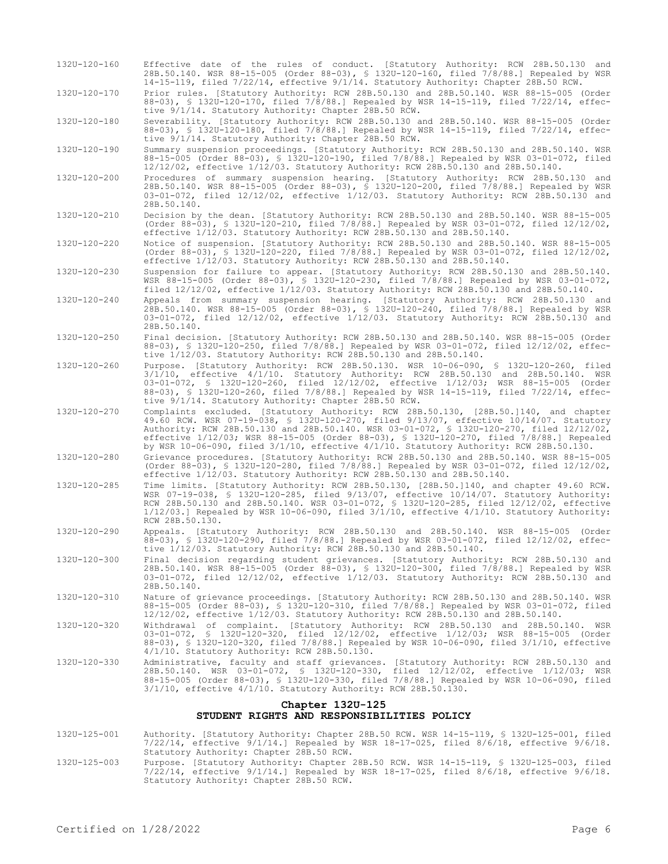| 132U-120-160                                                   | Effective date of the rules of conduct. [Statutory Authority: RCW 28B.50.130 and<br>28B.50.140. WSR 88-15-005 (Order 88-03), § 132U-120-160, filed 7/8/88.] Repealed by WSR<br>14-15-119, filed 7/22/14, effective 9/1/14. Statutory Authority: Chapter 28B.50 RCW.                                                                                                                                                                                                    |  |  |  |  |
|----------------------------------------------------------------|------------------------------------------------------------------------------------------------------------------------------------------------------------------------------------------------------------------------------------------------------------------------------------------------------------------------------------------------------------------------------------------------------------------------------------------------------------------------|--|--|--|--|
| 132U-120-170                                                   | Prior rules. [Statutory Authority: RCW 28B.50.130 and 28B.50.140. WSR 88-15-005 (Order<br>88-03), § 132U-120-170, filed 7/8/88.] Repealed by WSR 14-15-119, filed 7/22/14, effec-<br>tive 9/1/14. Statutory Authority: Chapter 28B.50 RCW.                                                                                                                                                                                                                             |  |  |  |  |
| 132U-120-180                                                   | Severability. [Statutory Authority: RCW 28B.50.130 and 28B.50.140. WSR 88-15-005 (Order<br>88-03), \$ 132U-120-180, filed 7/8/88.] Repealed by WSR 14-15-119, filed 7/22/14, effec-<br>tive 9/1/14. Statutory Authority: Chapter 28B.50 RCW.                                                                                                                                                                                                                           |  |  |  |  |
| 132U-120-190                                                   | Summary suspension proceedings. [Statutory Authority: RCW 28B.50.130 and 28B.50.140. WSR<br>88-15-005 (Order 88-03), \$ 132U-120-190, filed 7/8/88.] Repealed by WSR 03-01-072, filed<br>12/12/02, effective 1/12/03. Statutory Authority: RCW 28B.50.130 and 28B.50.140.                                                                                                                                                                                              |  |  |  |  |
| 132U-120-200                                                   | Procedures of summary suspension hearing. [Statutory Authority: RCW 28B.50.130 and<br>28B.50.140. WSR 88-15-005 (Order 88-03), \$ 132U-120-200, filed 7/8/88.] Repealed by WSR<br>03-01-072, filed 12/12/02, effective 1/12/03. Statutory Authority: RCW 28B.50.130 and<br>28B.50.140.                                                                                                                                                                                 |  |  |  |  |
| 132U-120-210                                                   | Decision by the dean. [Statutory Authority: RCW 28B.50.130 and 28B.50.140. WSR 88-15-005<br>(Order 88-03), § 132U-120-210, filed 7/8/88.] Repealed by WSR 03-01-072, filed 12/12/02,<br>effective 1/12/03. Statutory Authority: RCW 28B.50.130 and 28B.50.140.                                                                                                                                                                                                         |  |  |  |  |
| 132U-120-220                                                   | Notice of suspension. [Statutory Authority: RCW 28B.50.130 and 28B.50.140. WSR 88-15-005<br>(Order 88-03), § 132U-120-220, filed 7/8/88.] Repealed by WSR 03-01-072, filed 12/12/02,<br>effective 1/12/03. Statutory Authority: RCW 28B.50.130 and 28B.50.140.                                                                                                                                                                                                         |  |  |  |  |
| 132U-120-230                                                   | Suspension for failure to appear. [Statutory Authority: RCW 28B.50.130 and 28B.50.140.<br>WSR 88-15-005 (Order 88-03), \$ 132U-120-230, filed 7/8/88.] Repealed by WSR 03-01-072,<br>filed 12/12/02, effective 1/12/03. Statutory Authority: RCW 28B.50.130 and 28B.50.140.                                                                                                                                                                                            |  |  |  |  |
| 132U-120-240                                                   | Appeals from summary suspension hearing. [Statutory Authority: RCW 28B.50.130 and<br>28B.50.140. WSR 88-15-005 (Order 88-03), § 132U-120-240, filed 7/8/88.] Repealed by WSR<br>03-01-072, filed 12/12/02, effective 1/12/03. Statutory Authority: RCW 28B.50.130 and<br>28B.50.140.                                                                                                                                                                                   |  |  |  |  |
| 132U-120-250                                                   | Final decision. [Statutory Authority: RCW 28B.50.130 and 28B.50.140. WSR 88-15-005 (Order<br>88-03), § 132U-120-250, filed 7/8/88.] Repealed by WSR 03-01-072, filed 12/12/02, effec-<br>tive 1/12/03. Statutory Authority: RCW 28B.50.130 and 28B.50.140.                                                                                                                                                                                                             |  |  |  |  |
| 132U-120-260                                                   | Purpose. [Statutory Authority: RCW 28B.50.130. WSR 10-06-090, § 132U-120-260, filed<br>$3/1/10$ , effective $4/1/10$ . Statutory Authority: RCW 28B.50.130 and 28B.50.140. WSR<br>03-01-072, § 132U-120-260, filed 12/12/02, effective 1/12/03; WSR 88-15-005 (Order<br>88-03), § 132U-120-260, filed 7/8/88.] Repealed by WSR 14-15-119, filed 7/22/14, effec-<br>tive 9/1/14. Statutory Authority: Chapter 28B.50 RCW.                                               |  |  |  |  |
| 132U-120-270                                                   | Complaints excluded. [Statutory Authority: RCW 28B.50.130, [28B.50.]140, and chapter<br>49.60 RCW. WSR 07-19-038, \$ 132U-120-270, filed 9/13/07, effective 10/14/07. Statutory<br>Authority: RCW 28B.50.130 and 28B.50.140. WSR 03-01-072, § 132U-120-270, filed 12/12/02,<br>effective 1/12/03; WSR 88-15-005 (Order 88-03), § 132U-120-270, filed 7/8/88.] Repealed<br>by WSR 10-06-090, filed $3/1/10$ , effective $4/1/10$ . Statutory Authority: RCW 28B.50.130. |  |  |  |  |
| 132U-120-280                                                   | Grievance procedures. [Statutory Authority: RCW 28B.50.130 and 28B.50.140. WSR 88-15-005<br>(Order 88-03), § 132U-120-280, filed 7/8/88.] Repealed by WSR 03-01-072, filed 12/12/02,<br>effective 1/12/03. Statutory Authority: RCW 28B.50.130 and 28B.50.140.                                                                                                                                                                                                         |  |  |  |  |
| 132U-120-285                                                   | Time limits. [Statutory Authority: RCW 28B.50.130, [28B.50.]140, and chapter 49.60 RCW.<br>WSR $07-19-038$ , § 132U-120-285, filed $9/13/07$ , effective $10/14/07$ . Statutory Authority:<br>RCW 28B.50.130 and 28B.50.140. WSR 03-01-072, § 132U-120-285, filed 12/12/02, effective<br>$1/12/03$ .] Repealed by WSR 10-06-090, filed $3/1/10$ , effective $4/1/10$ . Statutory Authority:<br>RCW 28B.50.130.                                                         |  |  |  |  |
| 132U-120-290                                                   | Appeals. [Statutory Authority: RCW 28B.50.130 and 28B.50.140. WSR 88-15-005 (Order<br>88-03), \$ 132U-120-290, filed 7/8/88.] Repealed by WSR 03-01-072, filed 12/12/02, effec-<br>tive 1/12/03. Statutory Authority: RCW 28B.50.130 and 28B.50.140.                                                                                                                                                                                                                   |  |  |  |  |
| 132U-120-300                                                   | Final decision regarding student grievances. [Statutory Authority: RCW 28B.50.130 and<br>28B.50.140. WSR 88-15-005 (Order 88-03), § 132U-120-300, filed 7/8/88.] Repealed by WSR<br>03-01-072, filed 12/12/02, effective 1/12/03. Statutory Authority: RCW 28B.50.130 and<br>28B.50.140.                                                                                                                                                                               |  |  |  |  |
| 132U-120-310                                                   | Nature of grievance proceedings. [Statutory Authority: RCW 28B.50.130 and 28B.50.140. WSR<br>88-15-005 (Order 88-03), § 132U-120-310, filed 7/8/88.] Repealed by WSR 03-01-072, filed<br>12/12/02, effective 1/12/03. Statutory Authority: RCW 28B.50.130 and 28B.50.140.                                                                                                                                                                                              |  |  |  |  |
| 132U-120-320                                                   | Withdrawal of complaint. [Statutory Authority: RCW 28B.50.130 and 28B.50.140. WSR<br>03-01-072, § 132U-120-320, filed 12/12/02, effective 1/12/03; WSR 88-15-005 (Order<br>88-03), § 132U-120-320, filed 7/8/88.] Repealed by WSR 10-06-090, filed 3/1/10, effective<br>4/1/10. Statutory Authority: RCW 28B.50.130.                                                                                                                                                   |  |  |  |  |
| 132U-120-330                                                   | Administrative, faculty and staff grievances. [Statutory Authority: RCW 28B.50.130 and<br>28B.50.140. WSR 03-01-072, § 132U-120-330, filed 12/12/02, effective 1/12/03; WSR<br>88-15-005 (Order 88-03), \$ 132U-120-330, filed 7/8/88.] Repealed by WSR 10-06-090, filed<br>$3/1/10$ , effective $4/1/10$ . Statutory Authority: RCW 28B.50.130.                                                                                                                       |  |  |  |  |
| Chapter 132U-125<br>STUDENT RIGHTS AND RESPONSIBILITIES POLICY |                                                                                                                                                                                                                                                                                                                                                                                                                                                                        |  |  |  |  |
|                                                                |                                                                                                                                                                                                                                                                                                                                                                                                                                                                        |  |  |  |  |
| 132U-125-001                                                   | Authority. [Statutory Authority: Chapter 28B.50 RCW. WSR 14-15-119, \$ 132U-125-001, filed<br>$7/22/14$ , effective $9/1/14$ .] Repealed by WSR 18-17-025, filed 8/6/18, effective $9/6/18$ .                                                                                                                                                                                                                                                                          |  |  |  |  |

Statutory Authority: Chapter 28B.50 RCW. 132U-125-003 Purpose. [Statutory Authority: Chapter 28B.50 RCW. WSR 14-15-119, § 132U-125-003, filed 7/22/14, effective 9/1/14.] Repealed by WSR 18-17-025, filed 8/6/18, effective 9/6/18. Statutory Authority: Chapter 28B.50 RCW.